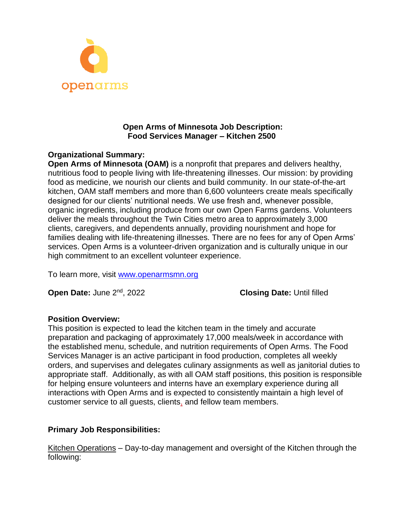

### **Open Arms of Minnesota Job Description: Food Services Manager – Kitchen 2500**

### **Organizational Summary:**

**Open Arms of Minnesota (OAM)** is a nonprofit that prepares and delivers healthy, nutritious food to people living with life-threatening illnesses. Our mission: by providing food as medicine, we nourish our clients and build community. In our state-of-the-art kitchen, OAM staff members and more than 6,600 volunteers create meals specifically designed for our clients' nutritional needs. We use fresh and, whenever possible, organic ingredients, including produce from our own Open Farms gardens. Volunteers deliver the meals throughout the Twin Cities metro area to approximately 3,000 clients, caregivers, and dependents annually, providing nourishment and hope for families dealing with life-threatening illnesses. There are no fees for any of Open Arms' services. Open Arms is a volunteer-driven organization and is culturally unique in our high commitment to an excellent volunteer experience.

To learn more, visit [www.openarmsmn.org](http://www.openarmsmn.org/)

**Open Date: June 2<sup>nd</sup>, 2022** 

, 2022 **Closing Date:** Until filled

### **Position Overview:**

This position is expected to lead the kitchen team in the timely and accurate preparation and packaging of approximately 17,000 meals/week in accordance with the established menu, schedule, and nutrition requirements of Open Arms. The Food Services Manager is an active participant in food production, completes all weekly orders, and supervises and delegates culinary assignments as well as janitorial duties to appropriate staff. Additionally, as with all OAM staff positions, this position is responsible for helping ensure volunteers and interns have an exemplary experience during all interactions with Open Arms and is expected to consistently maintain a high level of customer service to all guests, clients, and fellow team members.

### **Primary Job Responsibilities:**

Kitchen Operations – Day-to-day management and oversight of the Kitchen through the following: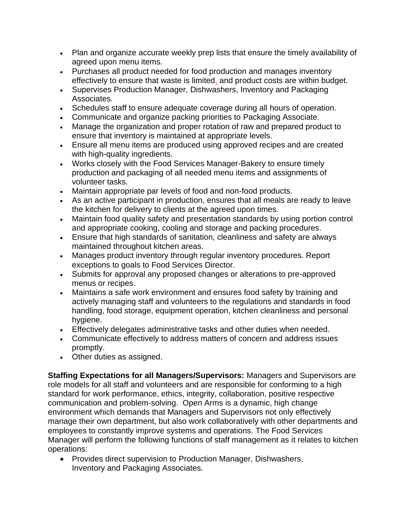- Plan and organize accurate weekly prep lists that ensure the timely availability of agreed upon menu items.
- Purchases all product needed for food production and manages inventory effectively to ensure that waste is limited, and product costs are within budget.
- Supervises Production Manager, Dishwashers, Inventory and Packaging Associates.
- Schedules staff to ensure adequate coverage during all hours of operation.
- Communicate and organize packing priorities to Packaging Associate.
- Manage the organization and proper rotation of raw and prepared product to ensure that inventory is maintained at appropriate levels.
- Ensure all menu items are produced using approved recipes and are created with high-quality ingredients.
- Works closely with the Food Services Manager-Bakery to ensure timely production and packaging of all needed menu items and assignments of volunteer tasks.
- Maintain appropriate par levels of food and non-food products.
- As an active participant in production, ensures that all meals are ready to leave the kitchen for delivery to clients at the agreed upon times.
- Maintain food quality safety and presentation standards by using portion control and appropriate cooking, cooling and storage and packing procedures.
- Ensure that high standards of sanitation, cleanliness and safety are always maintained throughout kitchen areas.
- Manages product inventory through regular inventory procedures. Report exceptions to goals to Food Services Director.
- Submits for approval any proposed changes or alterations to pre-approved menus or recipes.
- Maintains a safe work environment and ensures food safety by training and actively managing staff and volunteers to the regulations and standards in food handling, food storage, equipment operation, kitchen cleanliness and personal hygiene.
- Effectively delegates administrative tasks and other duties when needed.
- Communicate effectively to address matters of concern and address issues promptly.
- Other duties as assigned.

**Staffing Expectations for all Managers/Supervisors:** Managers and Supervisors are role models for all staff and volunteers and are responsible for conforming to a high standard for work performance, ethics, integrity, collaboration, positive respective communication and problem-solving. Open Arms is a dynamic, high change environment which demands that Managers and Supervisors not only effectively manage their own department, but also work collaboratively with other departments and employees to constantly improve systems and operations. The Food Services Manager will perform the following functions of staff management as it relates to kitchen operations:

• Provides direct supervision to Production Manager, Dishwashers, Inventory and Packaging Associates.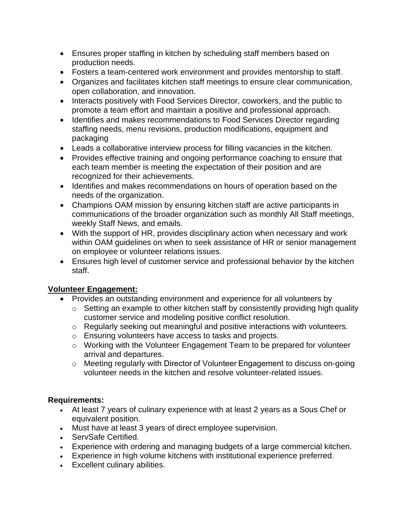- Ensures proper staffing in kitchen by scheduling staff members based on production needs.
- Fosters a team-centered work environment and provides mentorship to staff.
- Organizes and facilitates kitchen staff meetings to ensure clear communication, open collaboration, and innovation.
- Interacts positively with Food Services Director, coworkers, and the public to promote a team effort and maintain a positive and professional approach.
- Identifies and makes recommendations to Food Services Director regarding staffing needs, menu revisions, production modifications, equipment and packaging
- Leads a collaborative interview process for filling vacancies in the kitchen.
- Provides effective training and ongoing performance coaching to ensure that each team member is meeting the expectation of their position and are recognized for their achievements.
- Identifies and makes recommendations on hours of operation based on the needs of the organization.
- Champions OAM mission by ensuring kitchen staff are active participants in communications of the broader organization such as monthly All Staff meetings, weekly Staff News, and emails.
- With the support of HR, provides disciplinary action when necessary and work within OAM guidelines on when to seek assistance of HR or senior management on employee or volunteer relations issues.
- Ensures high level of customer service and professional behavior by the kitchen staff.

# **Volunteer Engagement:**

- Provides an outstanding environment and experience for all volunteers by
	- o Setting an example to other kitchen staff by consistently providing high quality customer service and modeling positive conflict resolution.
	- o Regularly seeking out meaningful and positive interactions with volunteers.
	- o Ensuring volunteers have access to tasks and projects.
	- o Working with the Volunteer Engagement Team to be prepared for volunteer arrival and departures.
	- o Meeting regularly with Director of Volunteer Engagement to discuss on-going volunteer needs in the kitchen and resolve volunteer-related issues.

# **Requirements:**

- At least 7 years of culinary experience with at least 2 years as a Sous Chef or equivalent position.
- Must have at least 3 years of direct employee supervision.
- ServSafe Certified.
- Experience with ordering and managing budgets of a large commercial kitchen.
- Experience in high volume kitchens with institutional experience preferred.
- Excellent culinary abilities.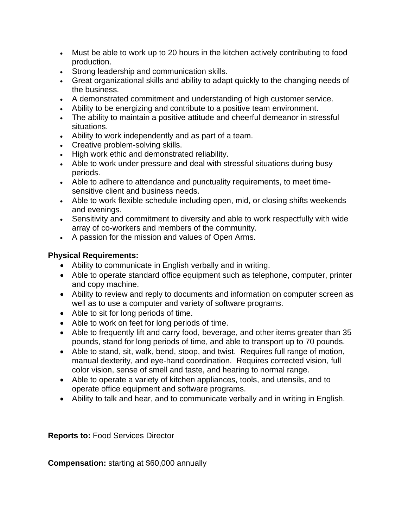- Must be able to work up to 20 hours in the kitchen actively contributing to food production.
- Strong leadership and communication skills.
- Great organizational skills and ability to adapt quickly to the changing needs of the business.
- A demonstrated commitment and understanding of high customer service.
- Ability to be energizing and contribute to a positive team environment.
- The ability to maintain a positive attitude and cheerful demeanor in stressful situations.
- Ability to work independently and as part of a team.
- Creative problem-solving skills.
- High work ethic and demonstrated reliability.
- Able to work under pressure and deal with stressful situations during busy periods.
- Able to adhere to attendance and punctuality requirements, to meet timesensitive client and business needs.
- Able to work flexible schedule including open, mid, or closing shifts weekends and evenings.
- Sensitivity and commitment to diversity and able to work respectfully with wide array of co-workers and members of the community.
- A passion for the mission and values of Open Arms.

## **Physical Requirements:**

- Ability to communicate in English verbally and in writing.
- Able to operate standard office equipment such as telephone, computer, printer and copy machine.
- Ability to review and reply to documents and information on computer screen as well as to use a computer and variety of software programs.
- Able to sit for long periods of time.
- Able to work on feet for long periods of time.
- Able to frequently lift and carry food, beverage, and other items greater than 35 pounds, stand for long periods of time, and able to transport up to 70 pounds.
- Able to stand, sit, walk, bend, stoop, and twist. Requires full range of motion, manual dexterity, and eye-hand coordination. Requires corrected vision, full color vision, sense of smell and taste, and hearing to normal range.
- Able to operate a variety of kitchen appliances, tools, and utensils, and to operate office equipment and software programs.
- Ability to talk and hear, and to communicate verbally and in writing in English.

**Reports to:** Food Services Director

**Compensation:** starting at \$60,000 annually